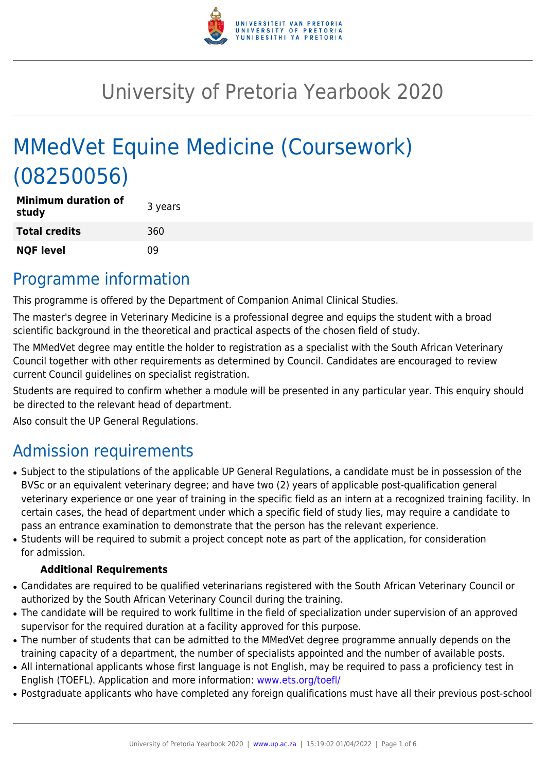

# University of Pretoria Yearbook 2020

# MMedVet Equine Medicine (Coursework) (08250056)

| <b>Minimum duration of</b><br>study | 3 years |
|-------------------------------------|---------|
| <b>Total credits</b>                | 360     |
| <b>NQF level</b>                    | n۹      |

### Programme information

This programme is offered by the Department of Companion Animal Clinical Studies.

The master's degree in Veterinary Medicine is a professional degree and equips the student with a broad scientific background in the theoretical and practical aspects of the chosen field of study.

The MMedVet degree may entitle the holder to registration as a specialist with the South African Veterinary Council together with other requirements as determined by Council. Candidates are encouraged to review current Council guidelines on specialist registration.

Students are required to confirm whether a module will be presented in any particular year. This enquiry should be directed to the relevant head of department.

Also consult the UP General Regulations.

# Admission requirements

- Subject to the stipulations of the applicable UP General Regulations, a candidate must be in possession of the BVSc or an equivalent veterinary degree; and have two (2) years of applicable post-qualification general veterinary experience or one year of training in the specific field as an intern at a recognized training facility. In certain cases, the head of department under which a specific field of study lies, may require a candidate to pass an entrance examination to demonstrate that the person has the relevant experience.
- Students will be required to submit a project concept note as part of the application, for consideration for admission.

#### **Additional Requirements**

- Candidates are required to be qualified veterinarians registered with the South African Veterinary Council or authorized by the South African Veterinary Council during the training.
- The candidate will be required to work fulltime in the field of specialization under supervision of an approved supervisor for the required duration at a facility approved for this purpose.
- The number of students that can be admitted to the MMedVet degree programme annually depends on the training capacity of a department, the number of specialists appointed and the number of available posts.
- All international applicants whose first language is not English, may be required to pass a proficiency test in English (TOEFL). Application and more information: [www.ets.org/toefl/](http://www.ets.org/toefl/)
- Postgraduate applicants who have completed any foreign qualifications must have all their previous post-school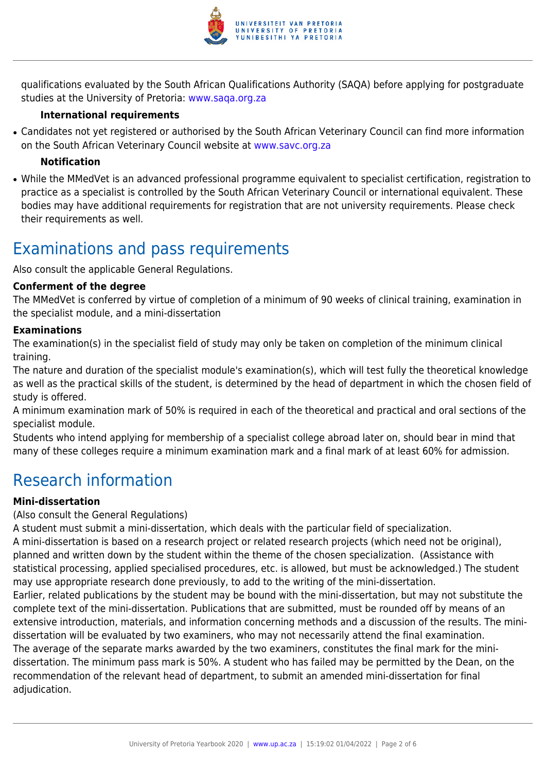

qualifications evaluated by the South African Qualifications Authority (SAQA) before applying for postgraduate studies at the University of Pretoria: [www.saqa.org.za](http://www.saqa.org.za/)

#### **International requirements**

• Candidates not yet registered or authorised by the South African Veterinary Council can find more information on the South African Veterinary Council website at [www.savc.org.za](http://www.savc.org.za)

#### **Notification**

• While the MMedVet is an advanced professional programme equivalent to specialist certification, registration to practice as a specialist is controlled by the South African Veterinary Council or international equivalent. These bodies may have additional requirements for registration that are not university requirements. Please check their requirements as well.

### Examinations and pass requirements

Also consult the applicable General Regulations.

#### **Conferment of the degree**

The MMedVet is conferred by virtue of completion of a minimum of 90 weeks of clinical training, examination in the specialist module, and a mini-dissertation

#### **Examinations**

The examination(s) in the specialist field of study may only be taken on completion of the minimum clinical training.

The nature and duration of the specialist module's examination(s), which will test fully the theoretical knowledge as well as the practical skills of the student, is determined by the head of department in which the chosen field of study is offered.

A minimum examination mark of 50% is required in each of the theoretical and practical and oral sections of the specialist module.

Students who intend applying for membership of a specialist college abroad later on, should bear in mind that many of these colleges require a minimum examination mark and a final mark of at least 60% for admission.

### Research information

#### **Mini-dissertation**

#### (Also consult the General Regulations)

A student must submit a mini-dissertation, which deals with the particular field of specialization. A mini-dissertation is based on a research project or related research projects (which need not be original), planned and written down by the student within the theme of the chosen specialization. (Assistance with statistical processing, applied specialised procedures, etc. is allowed, but must be acknowledged.) The student may use appropriate research done previously, to add to the writing of the mini-dissertation. Earlier, related publications by the student may be bound with the mini-dissertation, but may not substitute the complete text of the mini-dissertation. Publications that are submitted, must be rounded off by means of an extensive introduction, materials, and information concerning methods and a discussion of the results. The minidissertation will be evaluated by two examiners, who may not necessarily attend the final examination. The average of the separate marks awarded by the two examiners, constitutes the final mark for the minidissertation. The minimum pass mark is 50%. A student who has failed may be permitted by the Dean, on the recommendation of the relevant head of department, to submit an amended mini-dissertation for final adjudication.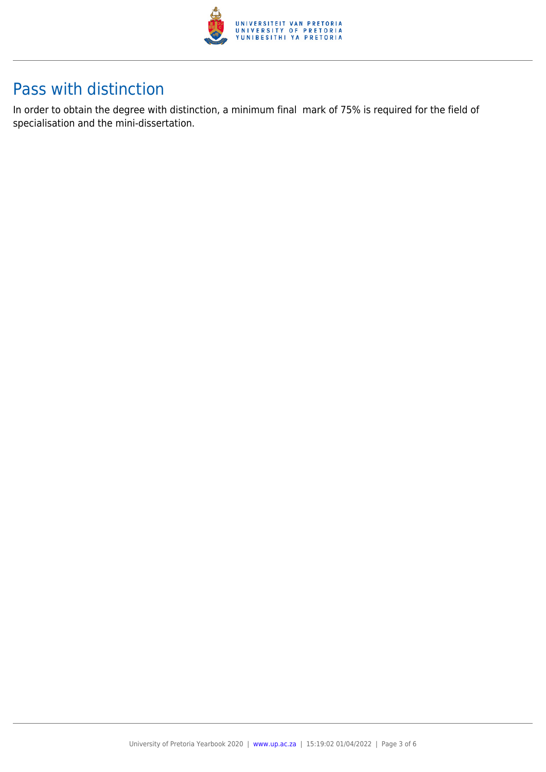

### Pass with distinction

In order to obtain the degree with distinction, a minimum final mark of 75% is required for the field of specialisation and the mini-dissertation.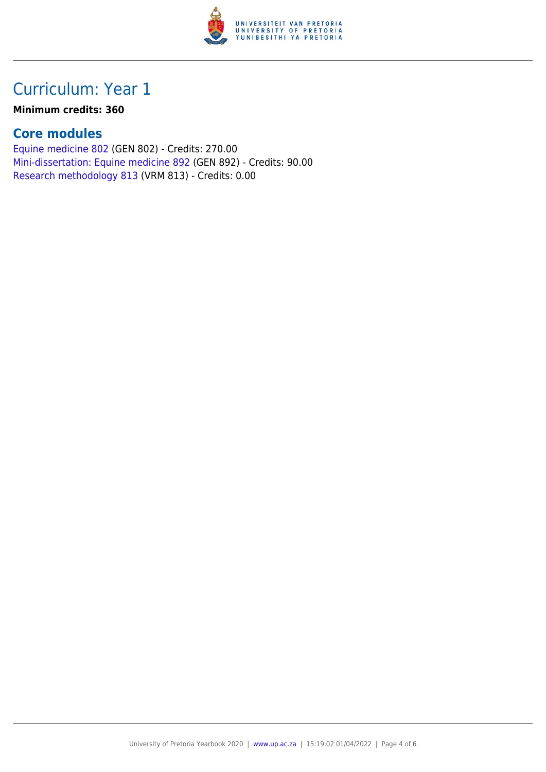

# Curriculum: Year 1

#### **Minimum credits: 360**

### **Core modules**

[Equine medicine 802](https://www.up.ac.za/yearbooks/2020/modules/view/GEN 802) (GEN 802) - Credits: 270.00 [Mini-dissertation: Equine medicine 892](https://www.up.ac.za/yearbooks/2020/modules/view/GEN 892) (GEN 892) - Credits: 90.00 [Research methodology 813](https://www.up.ac.za/yearbooks/2020/modules/view/VRM 813) (VRM 813) - Credits: 0.00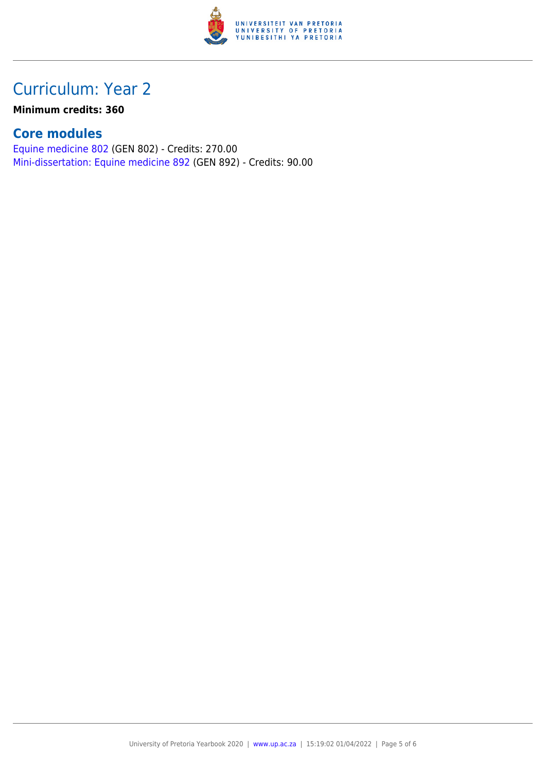

## Curriculum: Year 2

**Minimum credits: 360**

### **Core modules**

[Equine medicine 802](https://www.up.ac.za/yearbooks/2020/modules/view/GEN 802) (GEN 802) - Credits: 270.00 [Mini-dissertation: Equine medicine 892](https://www.up.ac.za/yearbooks/2020/modules/view/GEN 892) (GEN 892) - Credits: 90.00